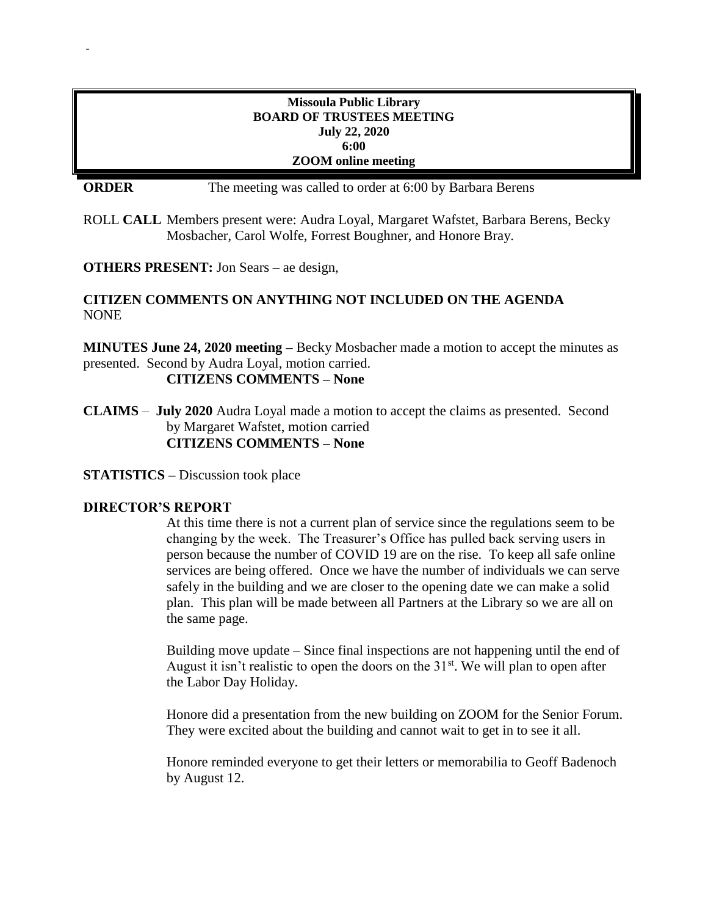## **Missoula Public Library BOARD OF TRUSTEES MEETING July 22, 2020 6:00 ZOOM online meeting**

**ORDER** The meeting was called to order at 6:00 by Barbara Berens

ROLL **CALL** Members present were: Audra Loyal, Margaret Wafstet, Barbara Berens, Becky Mosbacher, Carol Wolfe, Forrest Boughner, and Honore Bray.

**OTHERS PRESENT:** Jon Sears – ae design,

# **CITIZEN COMMENTS ON ANYTHING NOT INCLUDED ON THE AGENDA** NONE

**MINUTES June 24, 2020 meeting –** Becky Mosbacher made a motion to accept the minutes as presented. Second by Audra Loyal, motion carried.

**CITIZENS COMMENTS – None**

**CLAIMS** – **July 2020** Audra Loyal made a motion to accept the claims as presented. Second by Margaret Wafstet, motion carried **CITIZENS COMMENTS – None**

**STATISTICS –** Discussion took place

### **DIRECTOR'S REPORT**

-

At this time there is not a current plan of service since the regulations seem to be changing by the week. The Treasurer's Office has pulled back serving users in person because the number of COVID 19 are on the rise. To keep all safe online services are being offered. Once we have the number of individuals we can serve safely in the building and we are closer to the opening date we can make a solid plan. This plan will be made between all Partners at the Library so we are all on the same page.

Building move update – Since final inspections are not happening until the end of August it isn't realistic to open the doors on the  $31<sup>st</sup>$ . We will plan to open after the Labor Day Holiday.

Honore did a presentation from the new building on ZOOM for the Senior Forum. They were excited about the building and cannot wait to get in to see it all.

Honore reminded everyone to get their letters or memorabilia to Geoff Badenoch by August 12.